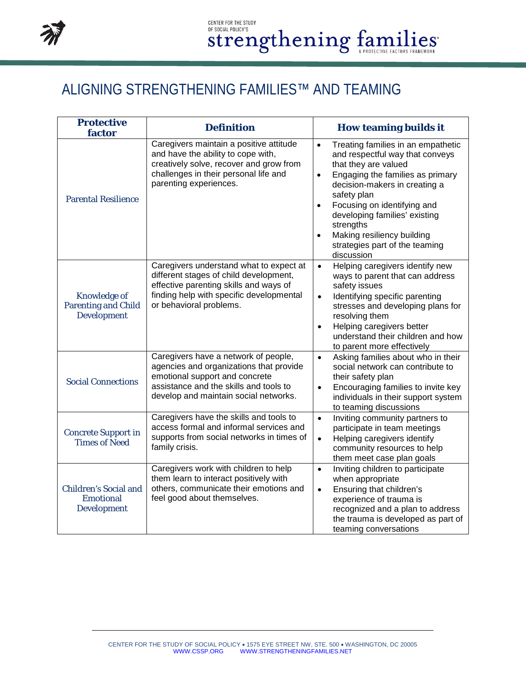

## ALIGNING STRENGTHENING FAMILIES™ AND TEAMING

| <b>Protective</b><br>factor                                             | <b>Definition</b>                                                                                                                                                                                    | <b>How teaming builds it</b>                                                                                                                                                                                                                                                                                                                                                                     |
|-------------------------------------------------------------------------|------------------------------------------------------------------------------------------------------------------------------------------------------------------------------------------------------|--------------------------------------------------------------------------------------------------------------------------------------------------------------------------------------------------------------------------------------------------------------------------------------------------------------------------------------------------------------------------------------------------|
| <b>Parental Resilience</b>                                              | Caregivers maintain a positive attitude<br>and have the ability to cope with,<br>creatively solve, recover and grow from<br>challenges in their personal life and<br>parenting experiences.          | Treating families in an empathetic<br>$\bullet$<br>and respectful way that conveys<br>that they are valued<br>Engaging the families as primary<br>$\bullet$<br>decision-makers in creating a<br>safety plan<br>Focusing on identifying and<br>$\bullet$<br>developing families' existing<br>strengths<br>Making resiliency building<br>$\bullet$<br>strategies part of the teaming<br>discussion |
| <b>Knowledge of</b><br><b>Parenting and Child</b><br><b>Development</b> | Caregivers understand what to expect at<br>different stages of child development,<br>effective parenting skills and ways of<br>finding help with specific developmental<br>or behavioral problems.   | Helping caregivers identify new<br>$\bullet$<br>ways to parent that can address<br>safety issues<br>Identifying specific parenting<br>$\bullet$<br>stresses and developing plans for<br>resolving them<br>Helping caregivers better<br>$\bullet$<br>understand their children and how<br>to parent more effectively                                                                              |
| <b>Social Connections</b>                                               | Caregivers have a network of people,<br>agencies and organizations that provide<br>emotional support and concrete<br>assistance and the skills and tools to<br>develop and maintain social networks. | Asking families about who in their<br>$\bullet$<br>social network can contribute to<br>their safety plan<br>Encouraging families to invite key<br>$\bullet$<br>individuals in their support system<br>to teaming discussions                                                                                                                                                                     |
| <b>Concrete Support in</b><br><b>Times of Need</b>                      | Caregivers have the skills and tools to<br>access formal and informal services and<br>supports from social networks in times of<br>family crisis.                                                    | Inviting community partners to<br>$\bullet$<br>participate in team meetings<br>Helping caregivers identify<br>$\bullet$<br>community resources to help<br>them meet case plan goals                                                                                                                                                                                                              |
| <b>Children's Social and</b><br><b>Emotional</b><br><b>Development</b>  | Caregivers work with children to help<br>them learn to interact positively with<br>others, communicate their emotions and<br>feel good about themselves.                                             | Inviting children to participate<br>$\bullet$<br>when appropriate<br>Ensuring that children's<br>$\bullet$<br>experience of trauma is<br>recognized and a plan to address<br>the trauma is developed as part of<br>teaming conversations                                                                                                                                                         |